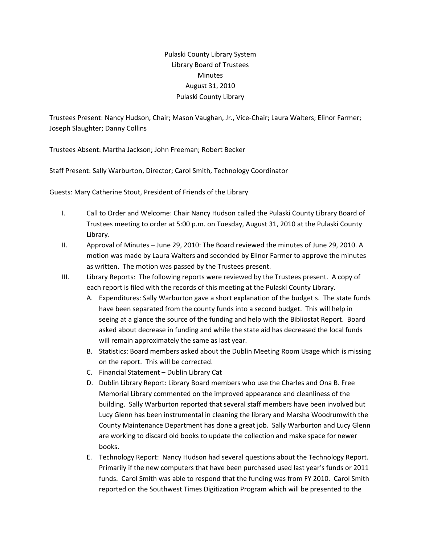## Pulaski County Library System Library Board of Trustees Minutes August 31, 2010 Pulaski County Library

Trustees Present: Nancy Hudson, Chair; Mason Vaughan, Jr., Vice‐Chair; Laura Walters; Elinor Farmer; Joseph Slaughter; Danny Collins

Trustees Absent: Martha Jackson; John Freeman; Robert Becker

Staff Present: Sally Warburton, Director; Carol Smith, Technology Coordinator

Guests: Mary Catherine Stout, President of Friends of the Library

- I. Call to Order and Welcome: Chair Nancy Hudson called the Pulaski County Library Board of Trustees meeting to order at 5:00 p.m. on Tuesday, August 31, 2010 at the Pulaski County Library.
- II. Approval of Minutes June 29, 2010: The Board reviewed the minutes of June 29, 2010. A motion was made by Laura Walters and seconded by Elinor Farmer to approve the minutes as written. The motion was passed by the Trustees present.
- III. Library Reports: The following reports were reviewed by the Trustees present. A copy of each report is filed with the records of this meeting at the Pulaski County Library.
	- A. Expenditures: Sally Warburton gave a short explanation of the budget s. The state funds have been separated from the county funds into a second budget. This will help in seeing at a glance the source of the funding and help with the Bibliostat Report. Board asked about decrease in funding and while the state aid has decreased the local funds will remain approximately the same as last year.
	- B. Statistics: Board members asked about the Dublin Meeting Room Usage which is missing on the report. This will be corrected.
	- C. Financial Statement Dublin Library Cat
	- D. Dublin Library Report: Library Board members who use the Charles and Ona B. Free Memorial Library commented on the improved appearance and cleanliness of the building. Sally Warburton reported that several staff members have been involved but Lucy Glenn has been instrumental in cleaning the library and Marsha Woodrumwith the County Maintenance Department has done a great job. Sally Warburton and Lucy Glenn are working to discard old books to update the collection and make space for newer books.
	- E. Technology Report: Nancy Hudson had several questions about the Technology Report. Primarily if the new computers that have been purchased used last year's funds or 2011 funds. Carol Smith was able to respond that the funding was from FY 2010. Carol Smith reported on the Southwest Times Digitization Program which will be presented to the